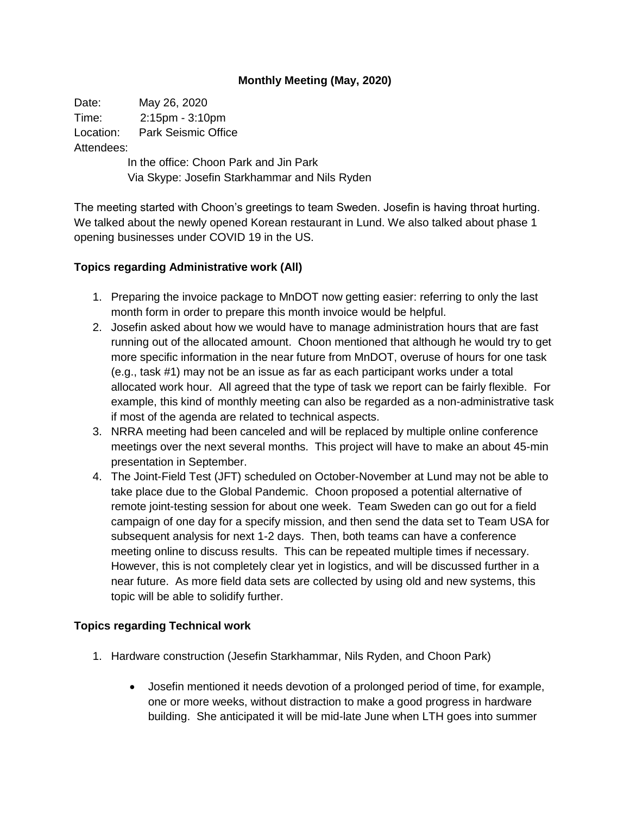## **Monthly Meeting (May, 2020)**

Date: May 26, 2020 Time: 2:15pm - 3:10pm Location: Park Seismic Office Attendees:

> In the office: Choon Park and Jin Park Via Skype: Josefin Starkhammar and Nils Ryden

The meeting started with Choon's greetings to team Sweden. Josefin is having throat hurting. We talked about the newly opened Korean restaurant in Lund. We also talked about phase 1 opening businesses under COVID 19 in the US.

## **Topics regarding Administrative work (All)**

- 1. Preparing the invoice package to MnDOT now getting easier: referring to only the last month form in order to prepare this month invoice would be helpful.
- 2. Josefin asked about how we would have to manage administration hours that are fast running out of the allocated amount. Choon mentioned that although he would try to get more specific information in the near future from MnDOT, overuse of hours for one task (e.g., task #1) may not be an issue as far as each participant works under a total allocated work hour. All agreed that the type of task we report can be fairly flexible. For example, this kind of monthly meeting can also be regarded as a non-administrative task if most of the agenda are related to technical aspects.
- 3. NRRA meeting had been canceled and will be replaced by multiple online conference meetings over the next several months. This project will have to make an about 45-min presentation in September.
- 4. The Joint-Field Test (JFT) scheduled on October-November at Lund may not be able to take place due to the Global Pandemic. Choon proposed a potential alternative of remote joint-testing session for about one week. Team Sweden can go out for a field campaign of one day for a specify mission, and then send the data set to Team USA for subsequent analysis for next 1-2 days. Then, both teams can have a conference meeting online to discuss results. This can be repeated multiple times if necessary. However, this is not completely clear yet in logistics, and will be discussed further in a near future. As more field data sets are collected by using old and new systems, this topic will be able to solidify further.

## **Topics regarding Technical work**

- 1. Hardware construction (Jesefin Starkhammar, Nils Ryden, and Choon Park)
	- Josefin mentioned it needs devotion of a prolonged period of time, for example, one or more weeks, without distraction to make a good progress in hardware building. She anticipated it will be mid-late June when LTH goes into summer